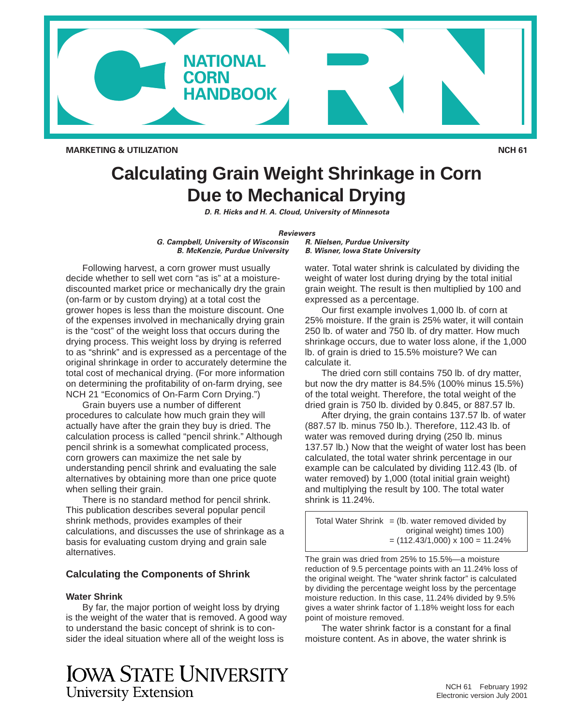

**MARKETING & UTILIZATION** NOTE AND RESERVE THE SERVE TO A LIGHT OF A LIGHT OF A LIGHT OF A LIGHT OF A LIGHT OF A LIGHT OF A LIGHT OF A LIGHT OF A LIGHT OF A LIGHT OF A LIGHT OF A LIGHT OF A LIGHT OF A LIGHT OF A LIGHT OF A

# **Calculating Grain Weight Shrinkage in Corn Due to Mechanical Drying**

**D. R. Hicks and H. A. Cloud, University of Minnesota** 

#### **Reviewers**

**G. Campbell, University of Wisconsin B. McKenzie, Purdue University** 

Following harvest, a corn grower must usually decide whether to sell wet corn "as is" at a moisturediscounted market price or mechanically dry the grain (on-farm or by custom drying) at a total cost the grower hopes is less than the moisture discount. One of the expenses involved in mechanically drying grain is the "cost" of the weight loss that occurs during the drying process. This weight loss by drying is referred to as "shrink" and is expressed as a percentage of the original shrinkage in order to accurately determine the total cost of mechanical drying. (For more information on determining the profitability of on-farm drying, see NCH 21 "Economics of On-Farm Corn Drying.")

Grain buyers use a number of different procedures to calculate how much grain they will actually have after the grain they buy is dried. The calculation process is called "pencil shrink." Although pencil shrink is a somewhat complicated process, corn growers can maximize the net sale by understanding pencil shrink and evaluating the sale alternatives by obtaining more than one price quote when selling their grain.

There is no standard method for pencil shrink. This publication describes several popular pencil shrink methods, provides examples of their calculations, and discusses the use of shrinkage as a basis for evaluating custom drying and grain sale alternatives.

# **Calculating the Components of Shrink**

#### **Water Shrink**

By far, the major portion of weight loss by drying is the weight of the water that is removed. A good way to understand the basic concept of shrink is to consider the ideal situation where all of the weight loss is

**IOWA STATE UNIVERSITY University Extension** 

**R. Nielsen, Purdue University B. Wisner, Iowa State University** 

water. Total water shrink is calculated by dividing the weight of water lost during drying by the total initial grain weight. The result is then multiplied by 100 and expressed as a percentage.

Our first example involves 1,000 lb. of corn at 25% moisture. If the grain is 25% water, it will contain 250 lb. of water and 750 lb. of dry matter. How much shrinkage occurs, due to water loss alone, if the 1,000 lb. of grain is dried to 15.5% moisture? We can calculate it.

The dried corn still contains 750 lb. of dry matter, but now the dry matter is 84.5% (100% minus 15.5%) of the total weight. Therefore, the total weight of the dried grain is 750 lb. divided by 0.845, or 887.57 lb.

After drying, the grain contains 137.57 lb. of water (887.57 lb. minus 750 lb.). Therefore, 112.43 lb. of water was removed during drying (250 lb. minus 137.57 lb.) Now that the weight of water lost has been calculated, the total water shrink percentage in our example can be calculated by dividing 112.43 (lb. of water removed) by 1,000 (total initial grain weight) and multiplying the result by 100. The total water shrink is 11.24%.

Total Water Shrink  $=$  (lb. water removed divided by original weight) times 100)  $=$  (112.43/1,000) x 100 = 11.24%

The grain was dried from 25% to 15.5%—a moisture reduction of 9.5 percentage points with an 11.24% loss of the original weight. The "water shrink factor" is calculated by dividing the percentage weight loss by the percentage moisture reduction. In this case, 11.24% divided by 9.5% gives a water shrink factor of 1.18% weight loss for each point of moisture removed.

The water shrink factor is a constant for a final moisture content. As in above, the water shrink is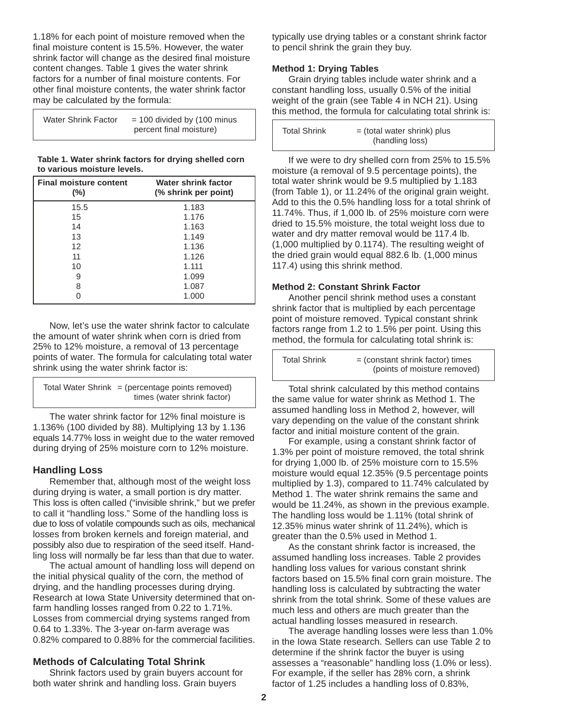1.18% for each point of moisture removed when the final moisture content is 15.5%. However, the water shrink factor will change as the desired final moisture content changes. Table 1 gives the water shrink factors for a number of final moisture contents. For other final moisture contents, the water shrink factor may be calculated by the formula:

| <b>Water Shrink Factor</b> | $=$ 100 divided by (100 minus<br>percent final moisture) |
|----------------------------|----------------------------------------------------------|
|----------------------------|----------------------------------------------------------|

**Table 1. Water shrink factors for drying shelled corn to various moisture levels.** 

| <b>Final moisture content</b><br>$(\%)$ | Water shrink factor<br>(% shrink per point) |
|-----------------------------------------|---------------------------------------------|
| 15.5                                    | 1.183                                       |
| 15                                      | 1.176                                       |
| 14                                      | 1.163                                       |
| 13                                      | 1.149                                       |
| 12 <sup>2</sup>                         | 1.136                                       |
| 11                                      | 1.126                                       |
| 10                                      | 1.111                                       |
| 9                                       | 1.099                                       |
| 8                                       | 1.087                                       |
|                                         | 1.000                                       |

Now, let's use the water shrink factor to calculate the amount of water shrink when corn is dried from 25% to 12% moisture, a removal of 13 percentage points of water. The formula for calculating total water shrink using the water shrink factor is:

```
Total Water Shrink = (percentage points removed)
            times (water shrink factor)
```
The water shrink factor for 12% final moisture is 1.136% (100 divided by 88). Multiplying 13 by 1.136 equals 14.77% loss in weight due to the water removed during drying of 25% moisture corn to 12% moisture.

# **Handling Loss**

 due to loss of volatile compounds such as oils, mechanical Remember that, although most of the weight loss during drying is water, a small portion is dry matter. This loss is often called ("invisible shrink," but we prefer to call it "handling loss." Some of the handling loss is losses from broken kernels and foreign material, and possibly also due to respiration of the seed itself. Handling loss will normally be far less than that due to water.

The actual amount of handling loss will depend on the initial physical quality of the corn, the method of drying, and the handling processes during drying. Research at Iowa State University determined that onfarm handling losses ranged from 0.22 to 1.71%. Losses from commercial drying systems ranged from 0.64 to 1.33%. The 3-year on-farm average was 0.82% compared to 0.88% for the commercial facilities.

# **Methods of Calculating Total Shrink**

Shrink factors used by grain buyers account for both water shrink and handling loss. Grain buyers

typically use drying tables or a constant shrink factor to pencil shrink the grain they buy.

# **Method 1: Drying Tables**

Grain drying tables include water shrink and a constant handling loss, usually 0.5% of the initial weight of the grain (see Table 4 in NCH 21). Using this method, the formula for calculating total shrink is:

| <b>Total Shrink</b> | $=$ (total water shrink) plus |
|---------------------|-------------------------------|
|                     | (handling loss)               |

If we were to dry shelled corn from 25% to 15.5% moisture (a removal of 9.5 percentage points), the total water shrink would be 9.5 multiplied by 1.183 (from Table 1), or 11.24% of the original grain weight. Add to this the 0.5% handling loss for a total shrink of 11.74%. Thus, if 1,000 lb. of 25% moisture corn were dried to 15.5% moisture, the total weight loss due to water and dry matter removal would be 117.4 lb. (1,000 multiplied by 0.1174). The resulting weight of the dried grain would equal 882.6 lb. (1,000 minus 117.4) using this shrink method.

#### **Method 2: Constant Shrink Factor**

Another pencil shrink method uses a constant shrink factor that is multiplied by each percentage point of moisture removed. Typical constant shrink factors range from 1.2 to 1.5% per point. Using this method, the formula for calculating total shrink is:

| <b>Total Shrink</b> | $=$ (constant shrink factor) times |
|---------------------|------------------------------------|
|                     | (points of moisture removed)       |

Total shrink calculated by this method contains the same value for water shrink as Method 1. The assumed handling loss in Method 2, however, will vary depending on the value of the constant shrink factor and initial moisture content of the grain.

For example, using a constant shrink factor of 1.3% per point of moisture removed, the total shrink for drying 1,000 lb. of 25% moisture corn to 15.5% moisture would equal 12.35% (9.5 percentage points multiplied by 1.3), compared to 11.74% calculated by Method 1. The water shrink remains the same and would be 11.24%, as shown in the previous example. The handling loss would be 1.11% (total shrink of 12.35% minus water shrink of 11.24%), which is greater than the 0.5% used in Method 1.

As the constant shrink factor is increased, the assumed handling loss increases. Table 2 provides handling loss values for various constant shrink factors based on 15.5% final corn grain moisture. The handling loss is calculated by subtracting the water shrink from the total shrink. Some of these values are much less and others are much greater than the actual handling losses measured in research.

The average handling losses were less than 1.0% in the Iowa State research. Sellers can use Table 2 to determine if the shrink factor the buyer is using assesses a "reasonable" handling loss (1.0% or less). For example, if the seller has 28% corn, a shrink factor of 1.25 includes a handling loss of 0.83%,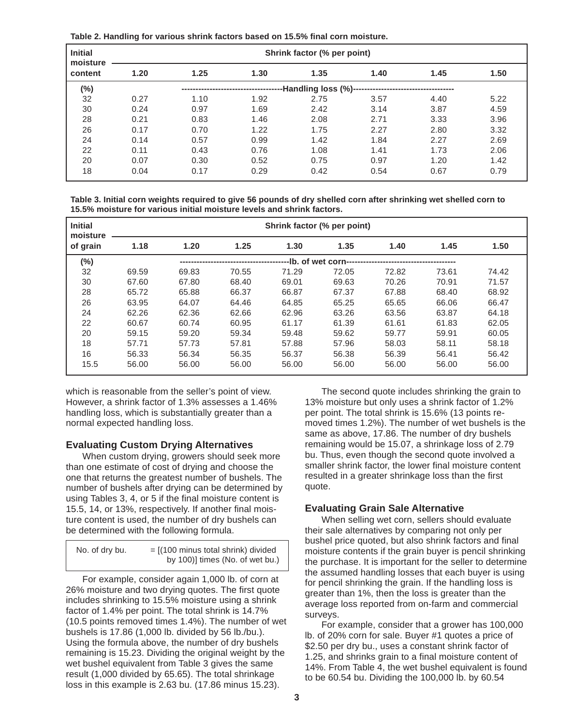**Table 2. Handling for various shrink factors based on 15.5% final corn moisture.** 

| <b>Initial</b><br>moisture |      |      |      | Shrink factor (% per point) |      |      |      |
|----------------------------|------|------|------|-----------------------------|------|------|------|
| content                    | 1.20 | 1.25 | 1.30 | 1.35                        | 1.40 | 1.45 | 1.50 |
| $(\%)$                     |      |      |      | --Handling loss (%)----     |      |      |      |
| 32                         | 0.27 | 1.10 | 1.92 | 2.75                        | 3.57 | 4.40 | 5.22 |
| 30                         | 0.24 | 0.97 | 1.69 | 2.42                        | 3.14 | 3.87 | 4.59 |
| 28                         | 0.21 | 0.83 | 1.46 | 2.08                        | 2.71 | 3.33 | 3.96 |
| 26                         | 0.17 | 0.70 | 1.22 | 1.75                        | 2.27 | 2.80 | 3.32 |
| 24                         | 0.14 | 0.57 | 0.99 | 1.42                        | 1.84 | 2.27 | 2.69 |
| 22                         | 0.11 | 0.43 | 0.76 | 1.08                        | 1.41 | 1.73 | 2.06 |
| 20                         | 0.07 | 0.30 | 0.52 | 0.75                        | 0.97 | 1.20 | 1.42 |
| 18                         | 0.04 | 0.17 | 0.29 | 0.42                        | 0.54 | 0.67 | 0.79 |

**Table 3. Initial corn weights required to give 56 pounds of dry shelled corn after shrinking wet shelled corn to 15.5% moisture for various initial moisture levels and shrink factors.** 

| <b>Initial</b><br>moisture |       |       |       | Shrink factor (% per point) |                                         |       |       |       |
|----------------------------|-------|-------|-------|-----------------------------|-----------------------------------------|-------|-------|-------|
| of grain                   | 1.18  | 1.20  | 1.25  | 1.30                        | 1.35                                    | 1.40  | 1.45  | 1.50  |
| $(\%)$                     |       |       |       |                             | -lb. of wet corn----------------------- |       |       |       |
| 32                         | 69.59 | 69.83 | 70.55 | 71.29                       | 72.05                                   | 72.82 | 73.61 | 74.42 |
| 30                         | 67.60 | 67.80 | 68.40 | 69.01                       | 69.63                                   | 70.26 | 70.91 | 71.57 |
| 28                         | 65.72 | 65.88 | 66.37 | 66.87                       | 67.37                                   | 67.88 | 68.40 | 68.92 |
| 26                         | 63.95 | 64.07 | 64.46 | 64.85                       | 65.25                                   | 65.65 | 66.06 | 66.47 |
| 24                         | 62.26 | 62.36 | 62.66 | 62.96                       | 63.26                                   | 63.56 | 63.87 | 64.18 |
| 22                         | 60.67 | 60.74 | 60.95 | 61.17                       | 61.39                                   | 61.61 | 61.83 | 62.05 |
| 20                         | 59.15 | 59.20 | 59.34 | 59.48                       | 59.62                                   | 59.77 | 59.91 | 60.05 |
| 18                         | 57.71 | 57.73 | 57.81 | 57.88                       | 57.96                                   | 58.03 | 58.11 | 58.18 |
| 16                         | 56.33 | 56.34 | 56.35 | 56.37                       | 56.38                                   | 56.39 | 56.41 | 56.42 |
| 15.5                       | 56.00 | 56.00 | 56.00 | 56.00                       | 56.00                                   | 56.00 | 56.00 | 56.00 |

which is reasonable from the seller's point of view. However, a shrink factor of 1.3% assesses a 1.46% handling loss, which is substantially greater than a normal expected handling loss.

#### **Evaluating Custom Drying Alternatives**

When custom drying, growers should seek more than one estimate of cost of drying and choose the one that returns the greatest number of bushels. The number of bushels after drying can be determined by using Tables 3, 4, or 5 if the final moisture content is 15.5, 14, or 13%, respectively. If another final moisture content is used, the number of dry bushels can be determined with the following formula.

| No. of dry bu. | $=$ $[(100 \text{ minus total shrink})$ divided |
|----------------|-------------------------------------------------|
|                | by 100)] times (No. of wet bu.)                 |

For example, consider again 1,000 lb. of corn at 26% moisture and two drying quotes. The first quote includes shrinking to 15.5% moisture using a shrink factor of 1.4% per point. The total shrink is 14.7% (10.5 points removed times 1.4%). The number of wet bushels is 17.86 (1,000 lb. divided by 56 lb./bu.). Using the formula above, the number of dry bushels remaining is 15.23. Dividing the original weight by the wet bushel equivalent from Table 3 gives the same result (1,000 divided by 65.65). The total shrinkage loss in this example is 2.63 bu. (17.86 minus 15.23).

The second quote includes shrinking the grain to 13% moisture but only uses a shrink factor of 1.2% per point. The total shrink is 15.6% (13 points removed times 1.2%). The number of wet bushels is the same as above, 17.86. The number of dry bushels remaining would be 15.07, a shrinkage loss of 2.79 bu. Thus, even though the second quote involved a smaller shrink factor, the lower final moisture content resulted in a greater shrinkage loss than the first quote.

# **Evaluating Grain Sale Alternative**

When selling wet corn, sellers should evaluate their sale alternatives by comparing not only per bushel price quoted, but also shrink factors and final moisture contents if the grain buyer is pencil shrinking the purchase. It is important for the seller to determine the assumed handling losses that each buyer is using for pencil shrinking the grain. If the handling loss is greater than 1%, then the loss is greater than the average loss reported from on-farm and commercial surveys.

For example, consider that a grower has 100,000 lb. of 20% corn for sale. Buyer #1 quotes a price of \$2.50 per dry bu., uses a constant shrink factor of 1.25, and shrinks grain to a final moisture content of 14%. From Table 4, the wet bushel equivalent is found to be 60.54 bu. Dividing the 100,000 lb. by 60.54